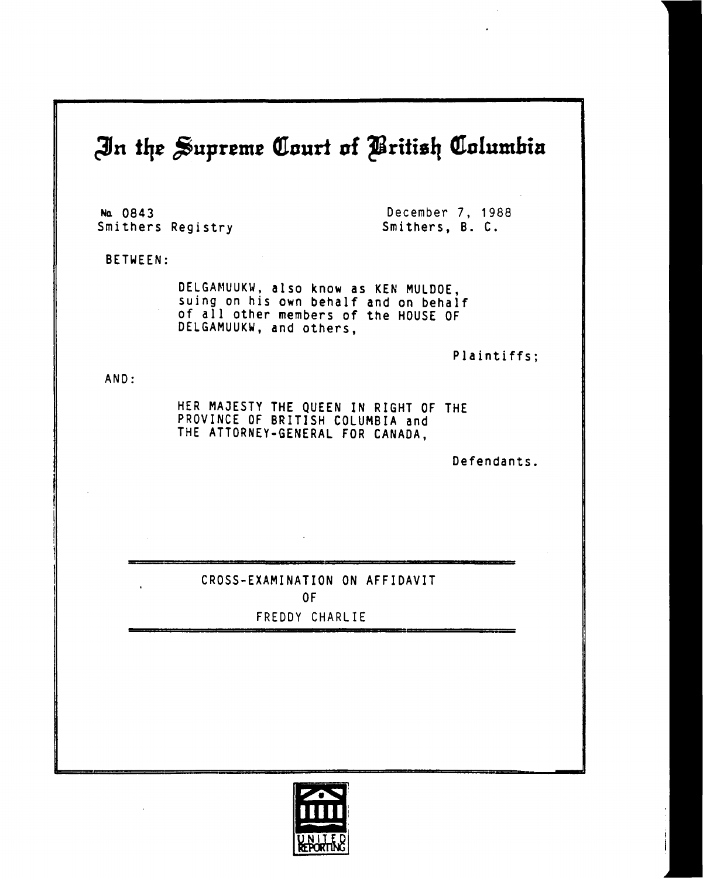## **<3n** *tlit £&uprtmt* **Court nf ^Brilis!] Columbia**

**Na 0843 Smithers Registry** 

**December 7, 1988 Smithers, B. C.** 

**BETWEEN:** 

**DELGAMUUKW, also know as KEN MULDOE, suing on his own behalf and on behalf of all other members of the HOUSE OF DELGAMUUKW, and others,** 

**Plaintiffs;** 

**AND** 

**HER MAJESTY THE QUEEN IN RIGHT OF THE PROVINCE OF BRITISH COLUMBIA and THE ATTORNEY-GENERAL FOR CANADA,** 

**Defendants.** 

**CROSS-EXAMINATION ON AFFIDAVIT OF** 

**FREDDY CHARLIE** 

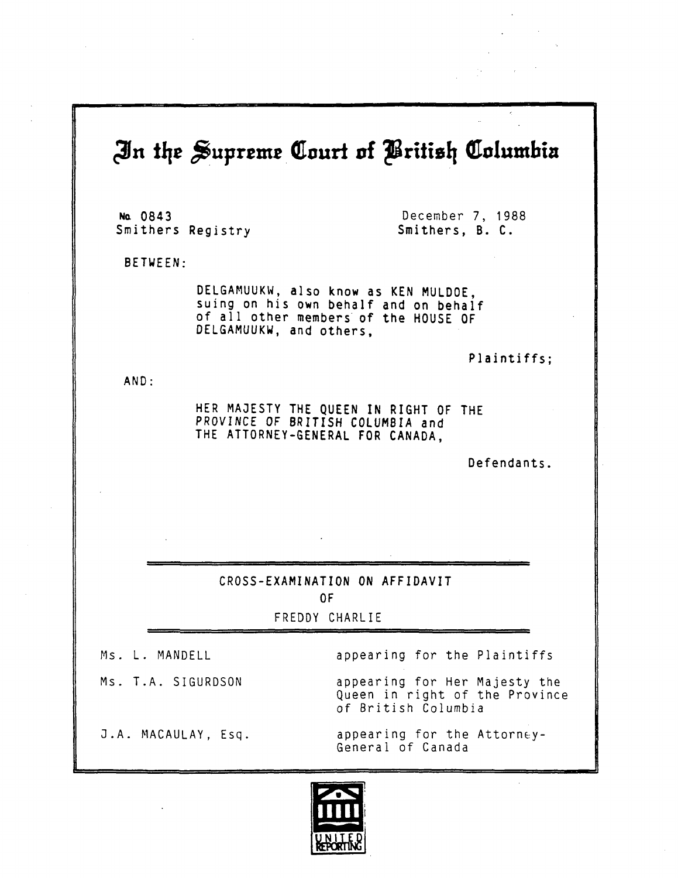## **£fn** *tiit* **Supreme Court of JSritislj Columbia Na 0843 Smithers Registry December 7, 1988 Smithers, B. C. BETWEEN; AND DELGAMUUKW, also know as KEN MULDOE, suing on his own behalf and on behalf of all other members of the HOUSE OF DELGAMUUKW, and others, Plaintiffs; HER MAJESTY THE QUEEN IN RIGHT OF THE PROVINCE OF BRITISH COLUMBIA and THE ATTORNEY-GENERAL FOR CANADA, Defendants. CROSS-EXAMINATION ON AFFIDAVIT OF**  FREDDY CHARLIE Ms. L. MANDELL Ms. T.A. SIGURDSON 0.A. MACAULAY, Esq appearing for the Plaintiffs appearing for Her Majesty the Queen in right of the Province of British Columbia appearing for the Attorney-General of Canada

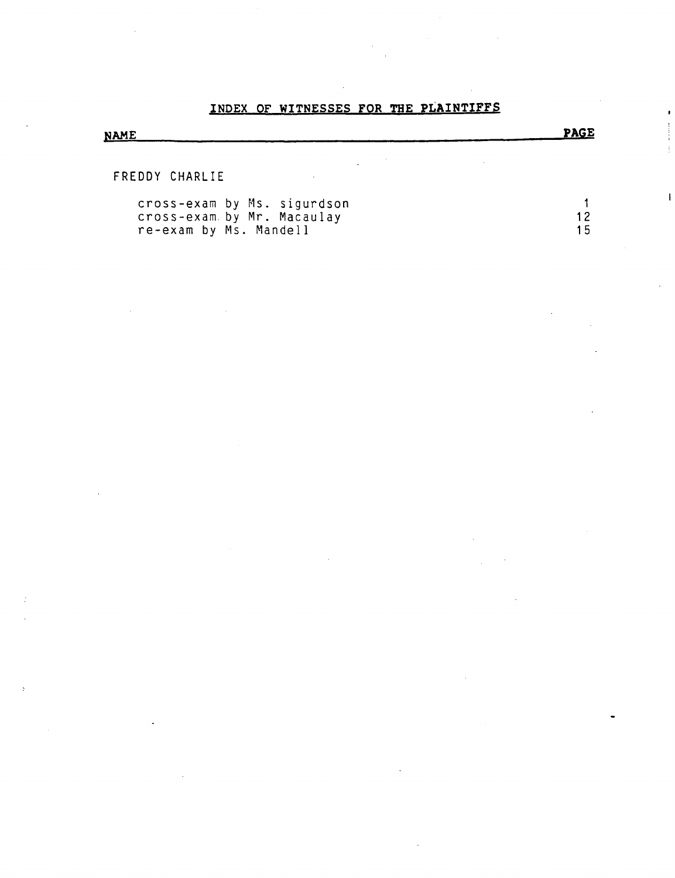#### **INDEX OF WITNESSES FOR THE PLAINTIFFS**

# **NAME \_ PAGE**

FREDDY CHARLIE

| cross-exam by Ms. sigurdson |  |
|-----------------------------|--|
| cross-exam by Mr. Macaulay  |  |
| re-exam by Ms. Mandell      |  |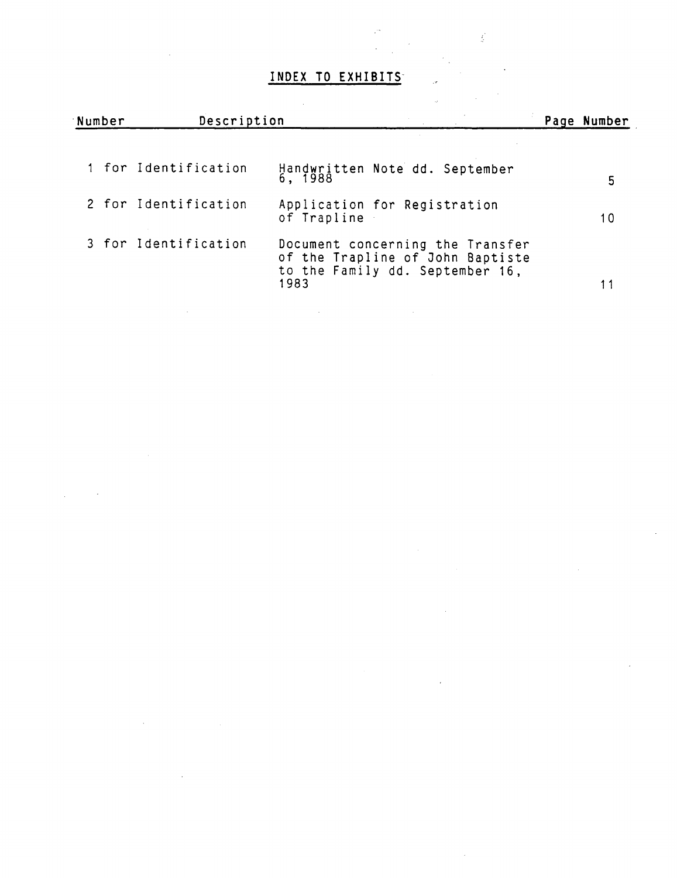### **INDEX TO EXHIBITS**

 $\frac{1}{2}$ 

| Number |  | Description          |                                                                                                                 |  | Page Number |
|--------|--|----------------------|-----------------------------------------------------------------------------------------------------------------|--|-------------|
|        |  | 1 for Identification | Handwritten Note dd. September<br>6, 1988                                                                       |  | 5           |
|        |  | 2 for Identification | Application for Registration<br>of Trapline                                                                     |  | 10          |
|        |  | 3 for Identification | Document concerning the Transfer<br>of the Trapline of John Baptiste<br>to the Family dd. September 16,<br>1983 |  |             |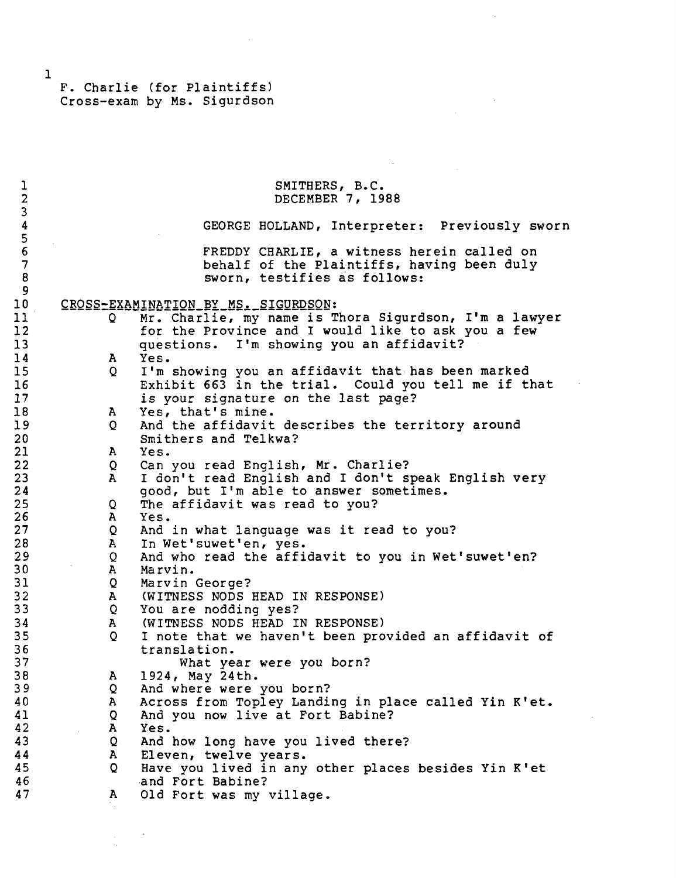$\sim$   $\sim$ 

 $\frac{1}{2}$ 

 $\sim 10^7$ 

| 1                                    |                   | SMITHERS, B.C.                                                                                                           |
|--------------------------------------|-------------------|--------------------------------------------------------------------------------------------------------------------------|
| $\overline{c}$                       |                   | DECEMBER 7, 1988                                                                                                         |
| 3<br>4                               |                   | GEORGE HOLLAND, Interpreter: Previously sworn                                                                            |
| $\frac{5}{6}$<br>$\overline{7}$<br>8 |                   | FREDDY CHARLIE, a witness herein called on<br>behalf of the Plaintiffs, having been duly<br>sworn, testifies as follows: |
| 9                                    |                   |                                                                                                                          |
| 10                                   |                   | CROSS-EXAMINATION BY MS. SIGURDSON:                                                                                      |
| 11<br>12                             | Q                 | Mr. Charlie, my name is Thora Sigurdson, I'm a lawyer<br>for the Province and I would like to ask you a few              |
| 13<br>14                             | A                 | questions. I'm showing you an affidavit?<br>Yes.                                                                         |
| 15                                   | Q                 | I'm showing you an affidavit that has been marked                                                                        |
| 16<br>17                             |                   | Exhibit 663 in the trial. Could you tell me if that<br>is your signature on the last page?                               |
| 18                                   | A,                | Yes, that's mine.                                                                                                        |
| 19<br>20                             | Q                 | And the affidavit describes the territory around<br>Smithers and Telkwa?                                                 |
| 21                                   | ${\bf A}$         | Yes.                                                                                                                     |
| 22                                   | Q                 | Can you read English, Mr. Charlie?                                                                                       |
| 23                                   | $\mathbf{A}$      | I don't read English and I don't speak English very                                                                      |
| 24                                   |                   | good, but I'm able to answer sometimes.                                                                                  |
| 25                                   | Q.                | The affidavit was read to you?                                                                                           |
| 26                                   | $\mathbf{A}$      | Yes.                                                                                                                     |
| 27                                   | Q                 | And in what language was it read to you?                                                                                 |
| 28<br>29                             | $\mathbf{A}$      | In Wet'suwet'en, yes.                                                                                                    |
| 30                                   | Q<br>$\mathbf{A}$ | And who read the affidavit to you in Wet'suwet'en?<br>Marvin.                                                            |
| 31                                   | Q                 | Marvin George?                                                                                                           |
| 32                                   |                   | A (WITNESS NODS HEAD IN RESPONSE)                                                                                        |
| 33                                   | Q                 | You are nodding yes?                                                                                                     |
| 34                                   | ${\bf A}$         | (WITNESS NODS HEAD IN RESPONSE)                                                                                          |
| 35                                   | Q                 | I note that we haven't been provided an affidavit of                                                                     |
| 36                                   |                   | translation.                                                                                                             |
| 37                                   |                   | What year were you born?                                                                                                 |
| 38<br>39                             | A                 | 1924, May 24th.                                                                                                          |
| 40                                   | Q<br>A            | And where were you born?<br>Across from Topley Landing in place called Yin K'et.                                         |
| 41                                   | Q                 | And you now live at Fort Babine?                                                                                         |
| 42                                   | A                 | Yes.                                                                                                                     |
| 43                                   | Q                 | And how long have you lived there?                                                                                       |
| 44                                   | A                 | Eleven, twelve years.                                                                                                    |
| 45                                   | $\circ$           | Have you lived in any other places besides Yin K'et                                                                      |
| 46                                   |                   | and Fort Babine?                                                                                                         |
| 47                                   | A                 | Old Fort was my village.                                                                                                 |
|                                      |                   |                                                                                                                          |

 $\hat{\mathcal{A}}$ 

 $\label{eq:2} \frac{1}{\sqrt{2}}\int_{0}^{\infty}\frac{1}{\sqrt{2\pi}}\left(\frac{1}{\sqrt{2\pi}}\right)^{2}d\mu_{\rm{eff}}\,d\mu_{\rm{eff}}$ 

 $\sim$  .

 $\sim$   $\sim$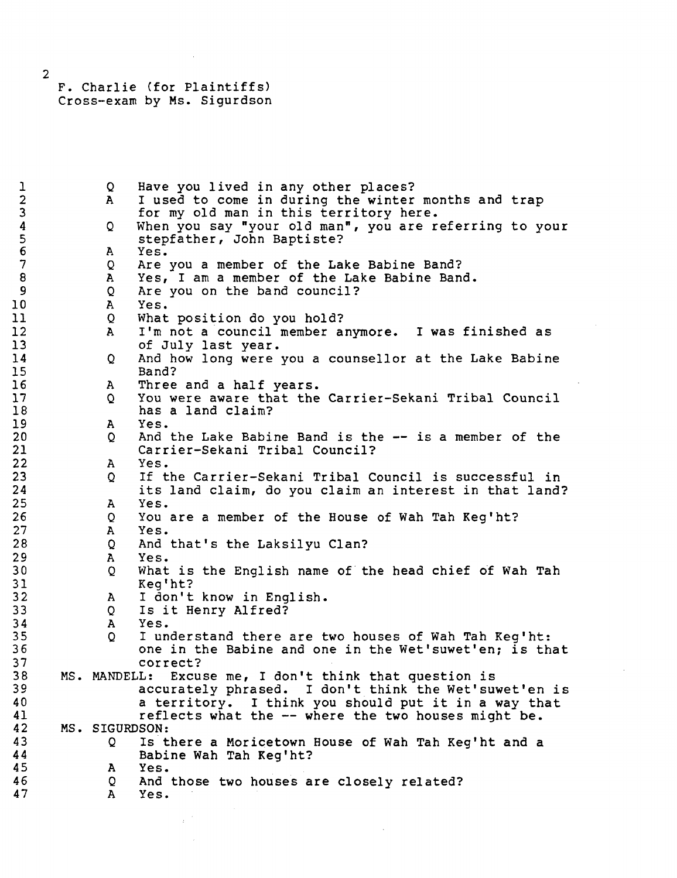1 Q Have you lived in any other places?<br>2 A I used to come in during the winter 2 A I used to come in during the winter months and trap<br>3 for my old man in this territory here. 3 for my old man in this territory here. 4 Q When you say "your old man", you are referring to your 5 stepfather, John Baptiste? 6 A Yes. 7 Q Are you a member of the Lake Babine Band?<br>8 A Yes, I am a member of the Lake Babine Ban 8 A Yes, I am a member of the Lake Babine Band.<br>9 Q Are you on the band council? Are you on the band council? 10 A Yes.<br>11 O What 11 Q What position do you hold?<br>12 A I'm not a council member a 12 A I'm not a council member anymore. I was finished as<br>13 of July last year. of July last year. 14 Q And how long were you a counsellor at the Lake Babine 15 Band? 16 A Three and a half years.<br>17 Q You were aware that the 17 Q You were aware that the Carrier-Sekani Tribal Council 18 has a land claim?<br>19 A Yes. 19 A Yes. 20 Q And the Lake Babine Band is the — is a member of the 21 Carrier-Sekani Tribal Council?<br>22 A Yes. 22 A Yes.<br>23 O If t 23 Q If the Carrier-Sekani Tribal Council is successful in<br>24 its land claim, do you claim an interest in that land 24 its land claim, do you claim an interest in that land? 25 A Yes. 26 Q You are a member of the House of Wah Tah Keg'ht? 27 A Yes.<br>28 Q And 28 Q And that's the Laksilyu Clan?<br>29 A Yes. 29 A Yes. 30 Q What is the English name of the head chief of Wah Tah 31 Keg'ht?<br>32 A Idon't 32 A I don't know in English.<br>33 O Is it Henry Alfred? Q Is it Henry Alfred? 34 A Yes. 35 Q I understand there are two houses of Wah Tah Keg'ht: 36 **120 one in the Babine and one in the Wet'suwet'en; is that** 37 37 correct?<br>38 MS. MANDELL: Excu 38 MS. MANDELL: Excuse me, I don't think that question is 39 accurately phrased. I don't think the Wet'suwet'en is 40 **a** territory. I think you should put it in a way that a that in a way that the set of the set of the set of the set of the set of the set of the set of the set of the set of the set of the set of the set of the set of 41 reflects what the -- where the two houses might be.<br>42 MS. SIGURDSON: 42 MS. SIGURDSON:<br>43 0 Ist 43 Q Is there a Moricetown House of Wah Tah Keg'ht and a 44 Babine Wah Tah Keg'ht? 45 A Yes. 46 Q And those two houses are closely related?<br>47 A Yes. A Yes.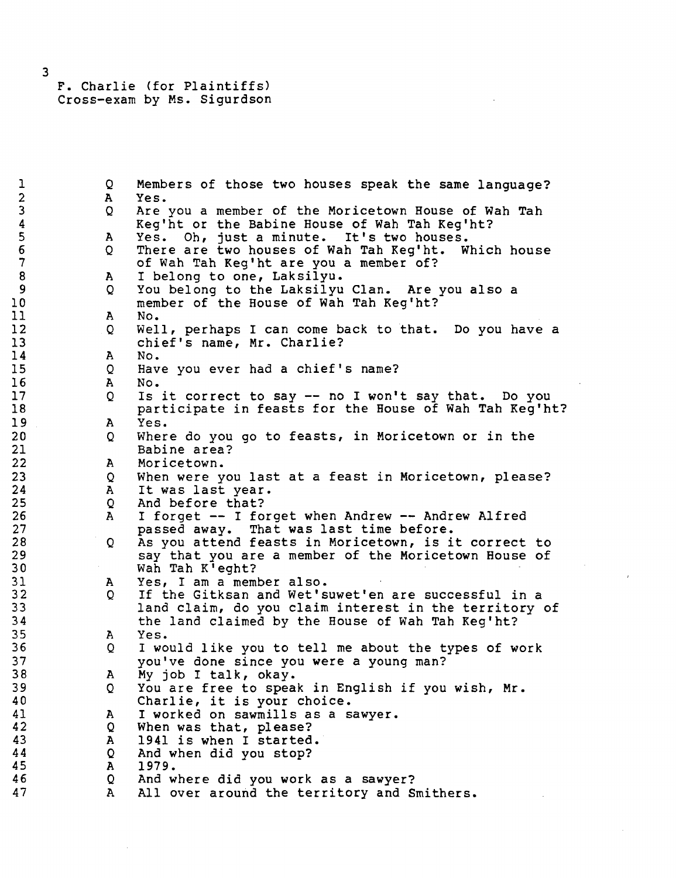> $\mathbf{O}$ A  $\mathbf{O}$ A Q A Q A Q A  $\circ$ A Q A Q A Q A Q A Q A  $\circ$ A  $\circ$ A Q A Q A Q A Q A Members of those two houses speak the same language? Yes. Are you a member of the Moricetown House of Wah Tah Keg'ht or the Babine House of Wah Tah Keg'ht? Yes. Oh, just a minute. It's two houses. There are two houses of Wah Tah Keg'ht. Which house of Wah Tah Keg'ht are you a member of? I belong to one, Laksilyu. You belong to the Laksilyu Clan. Are you also a member of the House of Wah Tah Keg'ht? No. Well, perhaps I can come back to that. Do you have a chief's name, Mr. Charlie? No. Have you ever had a chief's name? No. Is it correct to say — no I won't say that. Do you participate in feasts for the House of Wah Tah Keg'ht? Yes. Where do you go to feasts, in Moricetown or in the Babine area? Moricetown. When were you last at a feast in Moricetown, please? It was last year. And before that? I forget — I forget when Andrew — Andrew Alfred passed away. That was last time before. As you attend feasts in Moricetown, is it correct to say that you are a member of the Moricetown House of Wah Tah K'eght? Yes, I am a member also. If the Gitksan and Wet'suwet'en are successful in a land claim, do you claim interest in the territory of the land claimed by the House of Wah Tah Keg'ht? Yes. I would like you to tell me about the types of work you've done since you were a young man? My job I talk, okay. You are free to speak in English if you wish, Mr. Charlie, it is your choice. I worked on sawmills as a sawyer. When was that, please? 1941 is when I started. And when did you stop? 1979. And where did you work as a sawyer? All over around the territory and Smithers.

3

1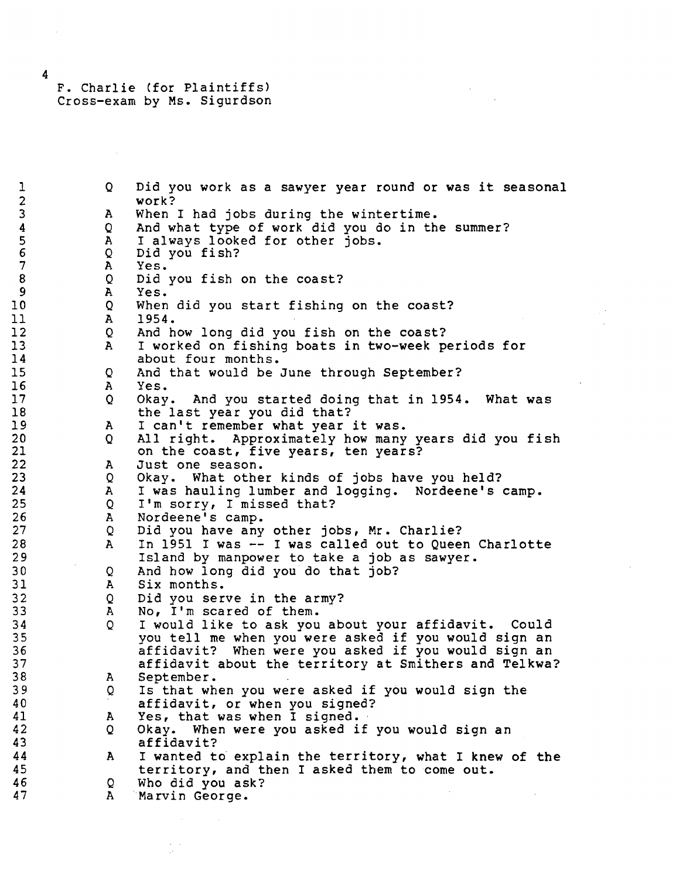Q A Q A Q A  $\circ$ A Q A Q A  $\circ$ A Q A Q A Q A Q A Q A Q A Q A Q A Q A Q A Q A Did you work as a sawyer year round or was it seasonal work? When I had jobs during the wintertime. And what type of work did you do in the summer? I always looked for other jobs. Did you fish? Yes. Did you fish on the coast? Yes. When did you start fishing on the coast? 1954. And how long did you fish on the coast? I worked on fishing boats in two-week periods for about four months. And that would be June through September? Yes. Okay. And you started doing that in 1954. What was the last year you did that? I can't remember what year it was. All right. Approximately how many years did you fish on the coast, five years, ten years? Just one season. Okay. What other kinds of jobs have you held? I was hauling lumber and logging. Nordeene's camp. I'm sorry, I missed that? Nordeene's camp. Did you have any other jobs, Mr. Charlie? In 1951 I was — I was called out to Queen Charlotte Island by manpower to take a job as sawyer. And how long did you do that job? Six months. Did you serve in the army? No, I'm scared of them. I would like to ask you about your affidavit. Could you tell me when you were asked if you would sign an affidavit? When were you asked if you would sign an affidavit about the territory at Smithers and Telkwa? September. Is that when you were asked if you would sign the affidavit, or when you signed? Yes, that was when I signed. Okay. When were you asked if you would sign an affidavit? I wanted to explain the territory, what I knew of the territory, and then I asked them to come out. Who did you ask? Marvin George.

4

1 2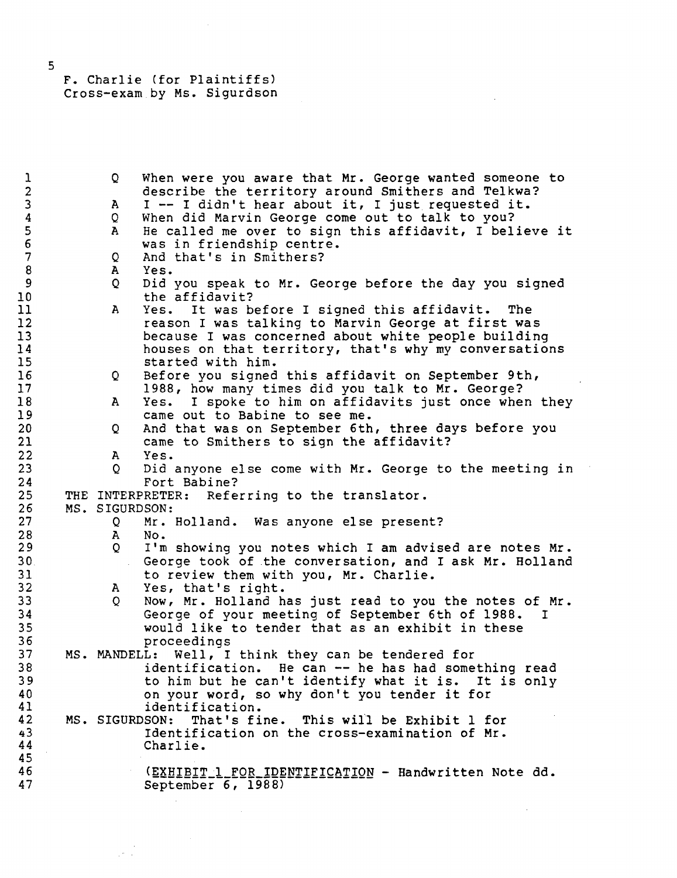| $\mathbf{I}$     | Q.                | When were you aware that Mr. George wanted someone to            |
|------------------|-------------------|------------------------------------------------------------------|
| $\mathbf{2}$     |                   | describe the territory around Smithers and Telkwa?               |
| 3                | A                 | I -- I didn't hear about it, I just requested it.                |
| $\pmb{4}$        | Q.                | When did Marvin George come out to talk to you?                  |
| 5                | A                 | He called me over to sign this affidavit, I believe it           |
| $\epsilon$       |                   | was in friendship centre.                                        |
| $\overline{7}$   | Q                 | And that's in Smithers?                                          |
| $\boldsymbol{8}$ | A                 | Yes.                                                             |
| 9                | $\mathsf{Q}$      | Did you speak to Mr. George before the day you signed            |
| 10               |                   | the affidavit?                                                   |
| 11               | A                 | Yes. It was before I signed this affidavit. The                  |
| 12               |                   | reason I was talking to Marvin George at first was               |
| 13               |                   | because I was concerned about white people building              |
| 14               |                   | houses on that territory, that's why my conversations            |
| 15               |                   | started with him.                                                |
| 16               | Q                 | Before you signed this affidavit on September 9th,               |
| 17               |                   | 1988, how many times did you talk to Mr. George?                 |
| 18               | A                 | I spoke to him on affidavits just once when they<br>Yes.         |
| 19               |                   | came out to Babine to see me.                                    |
| 20               | Q                 | And that was on September 6th, three days before you             |
| 21               |                   | came to Smithers to sign the affidavit?                          |
| 22               | A                 | Yes.                                                             |
| 23               | $\mathsf{Q}$      | Did anyone else come with Mr. George to the meeting in           |
| 24               |                   | Fort Babine?                                                     |
| 25               |                   | THE INTERPRETER: Referring to the translator.                    |
| 26               | MS. SIGURDSON:    |                                                                  |
| $27 \,$          | Q                 |                                                                  |
| 28               |                   | Mr. Holland. Was anyone else present?                            |
| 29               | A<br>$\mathsf{Q}$ | No.                                                              |
| 30.              |                   | I'm showing you notes which I am advised are notes Mr.           |
| 31               |                   | George took of the conversation, and I ask Mr. Holland           |
|                  |                   | to review them with you, Mr. Charlie.                            |
| 32               | A,                | Yes, that's right.                                               |
| 33               | Q                 | Now, Mr. Holland has just read to you the notes of Mr.           |
| 34               |                   | George of your meeting of September 6th of 1988.<br>$\mathbf{I}$ |
| 35               |                   | would like to tender that as an exhibit in these                 |
| 36               |                   | proceedings                                                      |
| 37               |                   | MS. MANDELL: Well, I think they can be tendered for              |
| 38               |                   | identification. He can -- he has had something read              |
| 39               |                   | to him but he can't identify what it is. It is only              |
| 40               |                   | on your word, so why don't you tender it for                     |
| 41               |                   | identification.                                                  |
| 42               |                   | That's fine. This will be Exhibit 1 for<br>MS. SIGURDSON:        |
| 43               |                   | Identification on the cross-examination of Mr.                   |
| 44               |                   | Charlie.                                                         |
| 45               |                   |                                                                  |
| 46               |                   | (EXHIBIT 1 FOR IDENTIFICATION - Handwritten Note dd.             |
| 47               |                   | September 6, 1988)                                               |
|                  |                   |                                                                  |

 $\mathcal{A}$ 

5

 $444$ <br> $44$ 

 $\frac{1}{2}$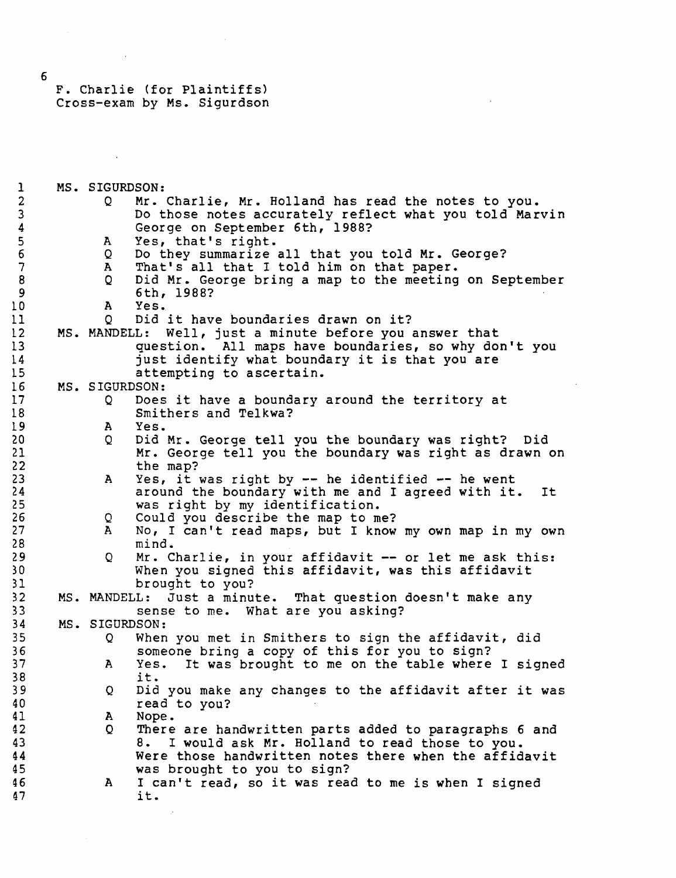$\mathcal{P}$ 

 $\mathcal{L}_{\mathbf{r}}$ 

 $\mathcal{L}_{\mathcal{L}}$ 

| $\mathbf{1}$     | MS. SIGURDSON:  |                                                                                                              |
|------------------|-----------------|--------------------------------------------------------------------------------------------------------------|
| $\boldsymbol{2}$ | $\circ$         | Mr. Charlie, Mr. Holland has read the notes to you.                                                          |
| $\mathbf{3}$     |                 | Do those notes accurately reflect what you told Marvin                                                       |
| $\boldsymbol{4}$ |                 | George on September 6th, 1988?                                                                               |
| $\overline{5}$   | $\mathbf{A}$    | Yes, that's right.                                                                                           |
| $\boldsymbol{6}$ | Q               | Do they summarize all that you told Mr. George?                                                              |
| $\overline{7}$   | A               | That's all that I told him on that paper.                                                                    |
| 8                | Q               | Did Mr. George bring a map to the meeting on September                                                       |
| 9                |                 | 6th, 1988?                                                                                                   |
| LO.              | A               | Yes.                                                                                                         |
| 11               | Q.              | Did it have boundaries drawn on it?                                                                          |
| 12               |                 | MS. MANDELL: Well, just a minute before you answer that                                                      |
| 13               |                 | question. All maps have boundaries, so why don't you                                                         |
| l 4              |                 | just identify what boundary it is that you are                                                               |
| 15               |                 | attempting to ascertain.                                                                                     |
| 16               | MS. SIGURDSON:  |                                                                                                              |
| 17               | Q               | Does it have a boundary around the territory at                                                              |
| 18               |                 | Smithers and Telkwa?                                                                                         |
| l 9              | A               | Yes.                                                                                                         |
| 20               |                 | Did Mr. George tell you the boundary was right? Did                                                          |
| 21               | Q.              |                                                                                                              |
| 22               |                 | Mr. George tell you the boundary was right as drawn on<br>the map?                                           |
| 23               |                 |                                                                                                              |
| 24               | $\mathbf{A}$    | Yes, it was right by $--$ he identified $--$ he went<br>around the boundary with me and I agreed with it. It |
| 25               |                 | was right by my identification.                                                                              |
| 26               |                 | Could you describe the map to me?                                                                            |
| 27               | Q.<br>${\bf A}$ | No, I can't read maps, but I know my own map in my own                                                       |
| 28               |                 | mind.                                                                                                        |
| 29               | $\circ$         | Mr. Charlie, in your affidavit -- or let me ask this:                                                        |
| 30               |                 |                                                                                                              |
|                  |                 | When you signed this affidavit, was this affidavit                                                           |
| 31               |                 | brought to you?                                                                                              |
| 32               | MS. MANDELL:    | Just a minute. That question doesn't make any                                                                |
| 33               |                 | sense to me. What are you asking?                                                                            |
| 34               | MS. SIGURDSON:  |                                                                                                              |
| 35.              | Q               | When you met in Smithers to sign the affidavit, did                                                          |
| 36               |                 | someone bring a copy of this for you to sign?                                                                |
| 37               | A               | Yes. It was brought to me on the table where I signed                                                        |
| 38               |                 | it.                                                                                                          |
| 39               | Q               | Did you make any changes to the affidavit after it was                                                       |
| 40               |                 | read to you?                                                                                                 |
| 41               | A               | Nope.                                                                                                        |
| 42               | Q               | There are handwritten parts added to paragraphs 6 and                                                        |
| 43               |                 | I would ask Mr. Holland to read those to you.<br>8.                                                          |
|                  |                 | Were those handwritten notes there when the affidavit                                                        |
| 44<br>45         |                 | was brought to you to sign?                                                                                  |
| 46               | A               | I can't read, so it was read to me is when I signed                                                          |
| 47               |                 | it.                                                                                                          |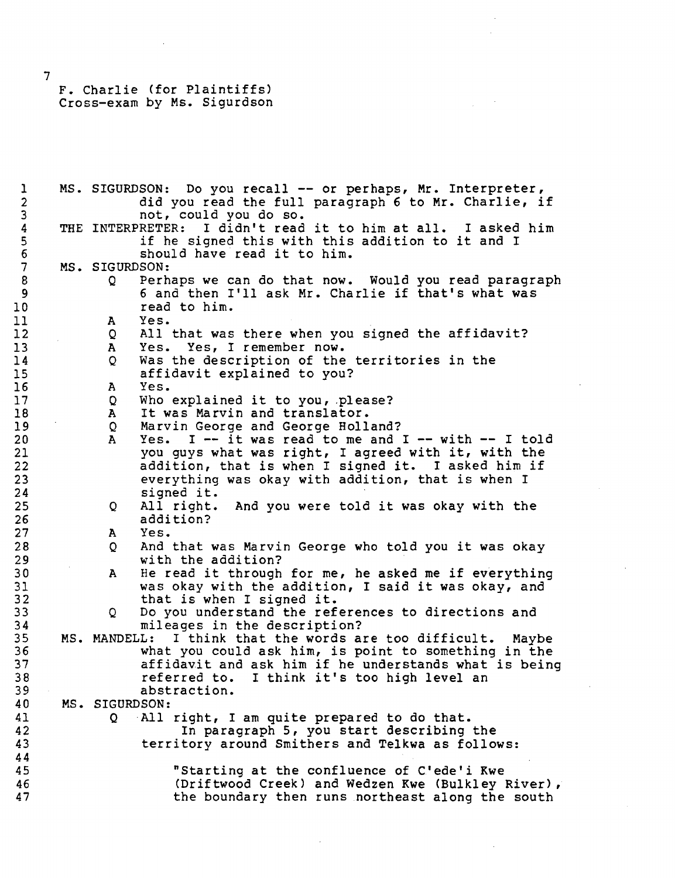1 MS. SIGURDSON: Do you recall -- or perhaps, Mr. Interpreter,<br>2 did you read the full paragraph 6 to Mr. Charlie, i 2 did you read the full paragraph 6 to Mr. Charlie, if<br>3 hot, could you do so. 3 not, could you do so.<br>4 THE INTERPRETER: I didn't read 4 THE INTERPRETER: I didn't read it to him at all. I asked him<br>5 if he signed this with this addition to it and I 5 if he signed this with this addition to it and I<br>6 Should have read it to him. 6 should have read it to him.<br>7 MS. SIGURDSON: 7 MS. SIGURDSON:<br>8 0 Perh 8 Q Perhaps we can do that now. Would you read paragraph<br>9 6 and then I'll ask Mr. Charlie if that's what was 9 6 and then I'll ask Mr. Charlie if that's what was<br>10 5 10 10 read to him.<br>11 A Yes. 11 A Yes. 12 Q All that was there when you signed the affidavit?<br>13 A Yes. Yes, I remember now. 13 A Yes. Yes, I remember now.<br>14 Q Was the description of the 14 Q Was the description of the territories in the<br>15 affidavit explained to you? 15 affidavit explained to you?<br>16 A Yes. 16 A Yes. 17 Q Who explained it to you, please?<br>18 A It was Marvin and translator. 18 A It was Marvin and translator. 19 Q Marvin George and George Holland? 20 A Yes. I — it was read to me and I — with — I told 21 You guys what was right, I agreed with it, with the<br>22 addition, that is when I signed it. I asked him if 22 addition, that is when I signed it. I asked him if<br>23 everything was okay with addition, that is when I 23 everything was okay with addition, that is when I<br>24 signed it. 24 signed it.<br>25 Q All right. 25 Q All right. And you were told it was okay with the 26 addition?<br>27 A Yes. 27 A Yes. 28 Q And that was Marvin George who told you it was okay 29 with the addition?<br>30 A He read it through 30 A He read it through for me, he asked me if everything<br>31 was okay with the addition, I said it was okay, and 31 was okay with the addition, I said it was okay, and 32 that is when I signed it.<br>33 0 Do you understand the ref 33 Q Do you understand the references to directions and 34 mileages in the description?<br>35 MS. MANDELL: I think that the words a 35 MS. MANDELL: I think that the words are too difficult. Maybe 36 what you could ask him, is point to something in the 37 affidavit and ask him if he understands what is being 38 referred to. I think it's too high level an 39 39 abstraction.<br>40 MS. SIGURDSON: MS. SIGURDSON: 41 Q All right, I am quite prepared to do that.<br>42 In paragraph 5, you start describing In paragraph 5, you start describing the 43 territory around Smithers and Telkwa as follows:  $\frac{44}{45}$ 45 "Starting at the confluence of C'ede'i Kwe 46 (Driftwood Creek) and Wedzen Kwe (Bulkley River), 47<br>47 the boundary then runs northeast along the south the boundary then runs northeast along the south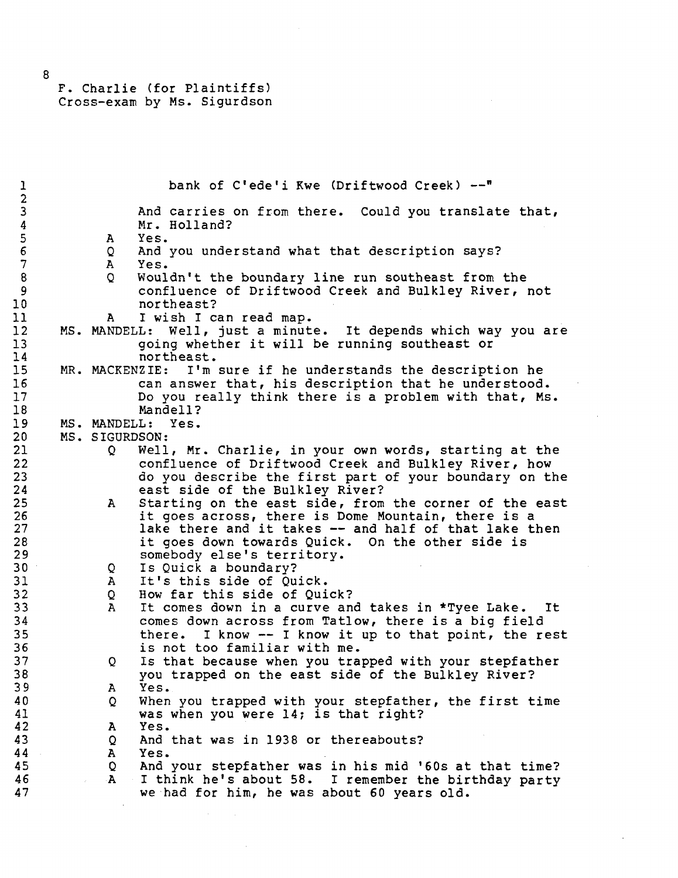| 1                       |                | bank of C'ede'i Kwe (Driftwood Creek) --"                       |
|-------------------------|----------------|-----------------------------------------------------------------|
| $\mathbf 2$             |                |                                                                 |
| $\overline{\mathbf{3}}$ |                | And carries on from there. Could you translate that,            |
| $\boldsymbol{4}$        |                | Mr. Holland?                                                    |
| $\overline{5}$          |                | Yes.                                                            |
|                         | A              |                                                                 |
| $6\phantom{1}6$         | Q              | And you understand what that description says?                  |
| $\overline{7}$          | $\mathbf{A}$   | Yes.                                                            |
| $\bf 8$                 | $\overline{Q}$ | Wouldn't the boundary line run southeast from the               |
| 9                       |                | confluence of Driftwood Creek and Bulkley River, not            |
| 10                      |                | northeast?                                                      |
| 11                      | A              | I wish I can read map.                                          |
| 12                      |                | MS. MANDELL: Well, just a minute. It depends which way you are  |
|                         |                |                                                                 |
| 13                      |                | going whether it will be running southeast or                   |
| 14                      |                | northeast.                                                      |
| 15                      |                | MR. MACKENZIE:<br>I'm sure if he understands the description he |
| 16                      |                | can answer that, his description that he understood.            |
| 17                      |                | Do you really think there is a problem with that, Ms.           |
| 18                      |                | Mandell?                                                        |
| 19                      |                | MS. MANDELL: Yes.                                               |
|                         |                |                                                                 |
| 20                      | MS. SIGURDSON: |                                                                 |
| 21                      | Q              | Well, Mr. Charlie, in your own words, starting at the           |
| 22                      |                | confluence of Driftwood Creek and Bulkley River, how            |
| 23                      |                | do you describe the first part of your boundary on the          |
| 24                      |                | east side of the Bulkley River?                                 |
| 25                      | A.             | Starting on the east side, from the corner of the east          |
| 26                      |                | it goes across, there is Dome Mountain, there is a              |
| 27                      |                | lake there and it takes -- and half of that lake then           |
|                         |                |                                                                 |
| 28                      |                | it goes down towards Quick. On the other side is                |
| 29                      |                | somebody else's territory.                                      |
| 30                      | Q              | Is Quick a boundary?                                            |
| 31                      | ${\bf A}$      | It's this side of Quick.                                        |
| 32                      | Q              | How far this side of Quick?                                     |
| 33                      | $\mathbf{A}$   | It comes down in a curve and takes in *Tyee Lake. It            |
| 34                      |                | comes down across from Tatlow, there is a big field             |
| 35                      |                | I know -- I know it up to that point, the rest<br>there.        |
| 36                      |                | is not too familiar with me.                                    |
|                         |                |                                                                 |
| 37                      | Q              | Is that because when you trapped with your stepfather           |
| 38                      |                | you trapped on the east side of the Bulkley River?              |
| 39                      | $\mathbf{A}$   | Yes.                                                            |
| 40                      | Q              | When you trapped with your stepfather, the first time           |
| 41                      |                | was when you were 14; is that right?                            |
| 42                      | A              | Yes.                                                            |
| 43                      | Q.             | And that was in 1938 or thereabouts?                            |
| 44                      | $\mathbf{A}$   | Yes.                                                            |
|                         |                |                                                                 |
| 45                      | Q              | And your stepfather was in his mid '60s at that time?           |
| 46                      | $\mathbf{A}$   | I think he's about 58. I remember the birthday party            |
| 47                      |                | we had for him, he was about 60 years old.                      |
|                         |                |                                                                 |

 $\mathcal{L}(\mathcal{A})$  and  $\mathcal{L}(\mathcal{A})$ 

 $\mathcal{A}^{\mathcal{A}}$ 

 $\bar{\mathbf{z}}$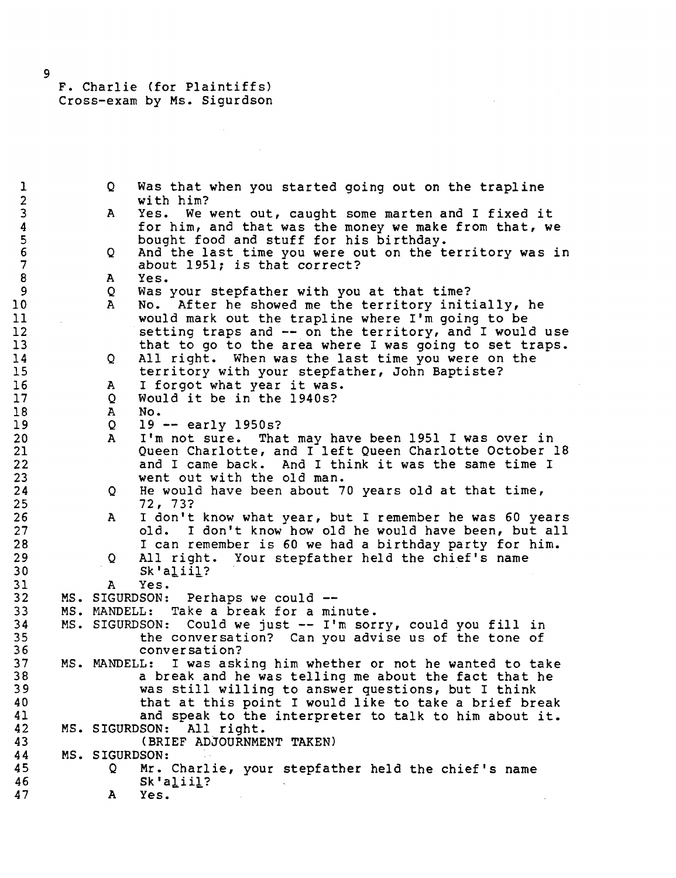1 Q Was that when you started going out on the trapline<br>2 with him? 2 with him?<br>3 A Yes. We 3 A Yes. We went out, caught some marten and I fixed it<br>4 for him, and that was the money we make from that, we 4 for him, and that was the money we make from that, we<br>5 bought food and stuff for his birthday. 5 bought food and stuff for his birthday.<br>6 Q And the last time you were out on the t 6 General Communist on the territory was in the territory was in about 1951: is that correct? 7 about 1951; is that correct?<br>8 A Yes. 8 A Yes. 9 Q Was your stepfather with you at that time?<br>10 A No. After he showed me the territory init 10 A No. After he showed me the territory initially, he<br>11 Would mark out the trapline where I'm going to be 11 would mark out the trapline where I'm going to be<br>12 Setting traps and -- on the territory, and I would 12 5etting traps and -- on the territory, and I would use<br>13 that to go to the area where I was going to set traps. 13 that to go to the area where I was going to set traps.<br>14 Q All right. When was the last time you were on the 14 Q All right. When was the last time you were on the<br>15 territory with your stepfather, John Baptiste? 15 territory with your stepfather, John Baptiste?<br>16 A I forgot what year it was. 16 A I forgot what year it was.<br>17 O Would it be in the 1940s? 17 Q Would it be in the 1940s?<br>18 A No. 18 A No.<br>19 Q 19 19 2 19 -- early 1950s?<br>20 A I'm not sure. Tha 20 A I'm not sure. That may have been 1951 I was over in 21 Queen Charlotte, and I left Queen Charlotte October 18 22 and I came back. And I think it was the same time I<br>23 went out with the old man. 23 went out with the old man.<br>24 O He would have been about 7 24 Q He would have been about 70 years old at that time,<br>25 25 22, 73? 25 72, 73? 26 A I don't know what year, but I remember he was 60 years<br>27 and 1 don't know how old he would have been, but all 27 old. I don't know how old he would have been, but all<br>28 1 can remember is 60 we had a birthday party for him. 28 I can remember is 60 we had a birthday party for him.<br>29 Q All right. Your stepfather held the chief's name 29 Q All right. Your stepfather held the chief's name 30 Sk'aliil?<br>31 A Yes. 31 A Yes.<br>32 MS. SIGURDSON: 32 MS. SIGURDSON: Perhaps we could --<br>33 MS. MANDELL: Take a break for a mi 33 MS. MANDELL: Take a break for a minute. 34 MS. SIGURDSON: Could we just — I'm sorry, could you fill in 35 the conversation? Can you advise us of the tone of 36 conversation?<br>37 MS. MANDELL: I was ask 37 MS. MANDELL: I was asking him whether or not he wanted to take 38 a break and he was telling me about the fact that he 39 was still willing to answer questions, but I think<br>40 that at this point I would like to take a brief bre 40 that at this point I would like to take a brief break<br>41 and speak to the interpreter to talk to him about it. 41 and speak to the interpreter to talk to him about it.<br>42 MS. SIGURDSON: All right. 42 MS. SIGURDSON: All right. (BRIEF ADJOURNMENT TAKEN) 44 MS. SIGURDSON:<br>45 0 Mr. 45 Q Mr. Charlie, your stepfather held the chief's name  $Sk$ 'aliil? 47 A Yes.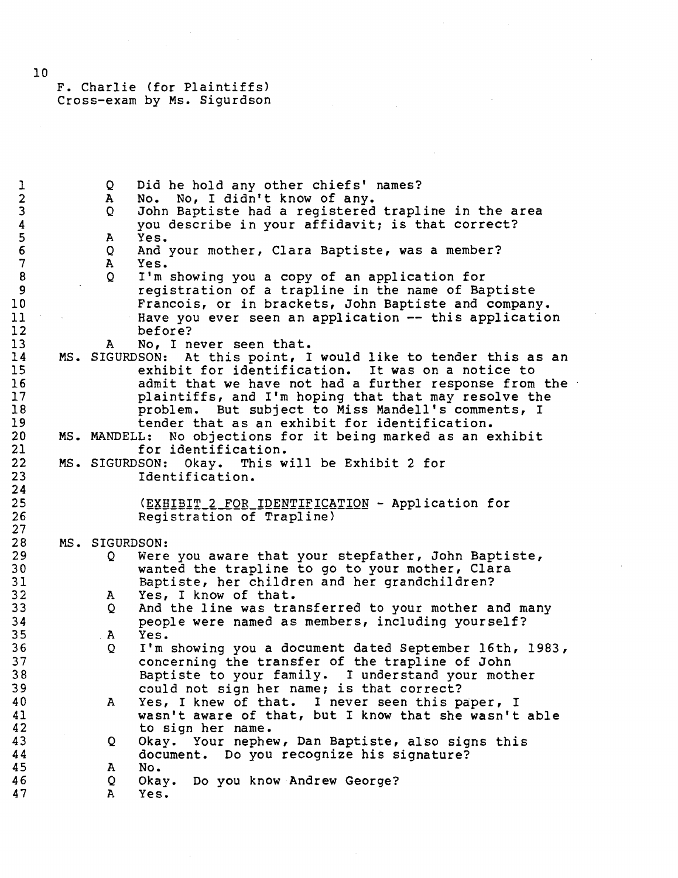1 Q Did he hold any other chiefs' names?<br>2 A No. No, I didn't know of any. 2 A No. No, I didn't know of any.<br>3 0 John Baptiste had a registered 3 Q John Baptiste had a registered trapline in the area 4 you describe in your affidavit; is that correct?<br>5 A Yes. 5 A Yes.<br>6 Q And 6 Q And your mother, Clara Baptiste, was a member? 7 A Yes.<br>8 O I'm 8 Q I'm showing you a copy of an application for<br>9 Second a trapline in the name of Ba 9 **19** registration of a trapline in the name of Baptiste<br>10 **Prancois, or in brackets, John Baptiste and compan** 10 **Francois, or in brackets, John Baptiste and company.**<br>11 Have you ever seen an application -- this applicatio 11 Have you ever seen an application -- this application<br>12 hefore? 12 before?<br>13 A No. In 13 A No, I never seen that.<br>14 MS. SIGURDSON: At this point, I 14 MS. SIGURDSON: At this point, I would like to tender this as an<br>15 The exhibit for identification. It was on a notice to 15 exhibit for identification. It was on a notice to 16 admit that we have not had a further response from the 17 plaintiffs, and I'm hoping that that may resolve the 18 **18** problem. But subject to Miss Mandell's comments, I<br>19 **19** tender that as an exhibit for identification. 19 19 tender that as an exhibit for identification.<br>20 MS. MANDELL: No objections for it being marked as an e 20 MS. MANDELL: No objections for it being marked as an exhibit 21 for identification.<br>22 MS. SIGURDSON: Okay. This w 22 MS. SIGURDSON: Okay. This will be Exhibit 2 for Identification.  $\frac{24}{25}$ 25 (EXHIBIT\_2\_FOR\_IDENTIFICATION - Application for Registration of Trapline)  $\frac{27}{28}$ 28 MS. SIGURDSON:<br>29 0 Were 29 Q Were you aware that your stepfather, John Baptiste,<br>30 wanted the trapline to go to your mother, Clara 30 wanted the trapline to go to your mother, Clara<br>31 Baptiste, her children and her grandchildren? 31 Baptiste, her children and her grandchildren?<br>32 A Yes, I know of that. 32 A Yes, I know of that.<br>33 Q And the line was tra 33 Q And the line was transferred to your mother and many<br>34 beople were named as members, including yourself? 34 people were named as members, including yourself? A Yes. 36 Q I'm showing you a document dated September 16th, 1983, 37 concerning the transfer of the trapline of John<br>38 Baptiste to your family. I understand your moti 38 Baptiste to your family. I understand your mother 39 could not sign her name; is that correct?<br>40 A Yes, I knew of that. I never seen this p 40 A Yes, I knew of that. I never seen this paper, I<br>41 wasn't aware of that, but I know that she wasn't 41 wasn't aware of that, but I know that she wasn't able<br>42 to sign her name. 42 to sign her name.<br>43 Q Okav. Your nephe 43 Q Okay. Your nephew, Dan Baptiste, also signs this 44 document. Do you recognize his signature? 45 A No. 46 Q Okay. Do you know Andrew George? 47 A Yes.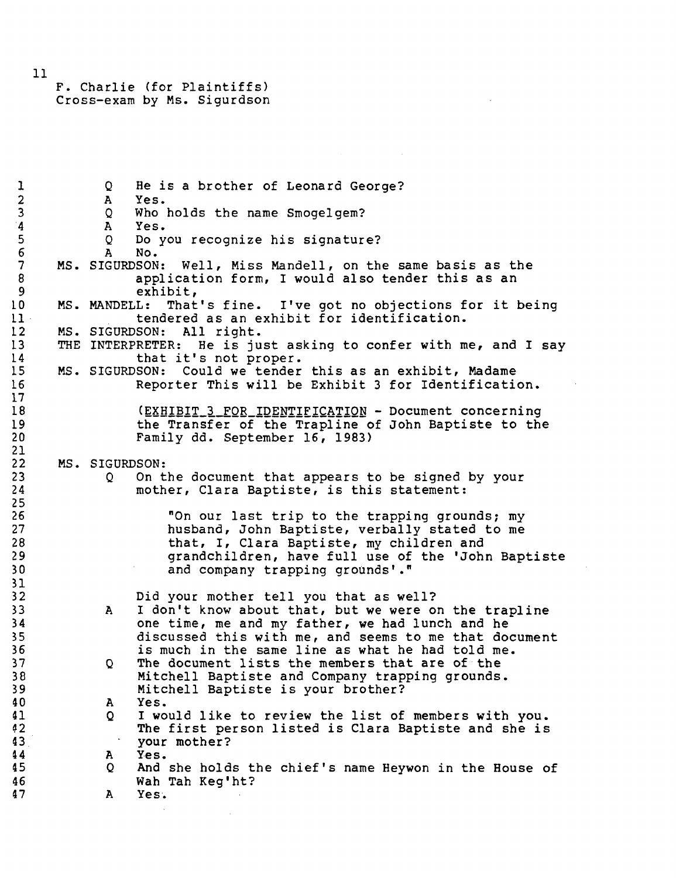1 Q He is a brother of Leonard George?<br>2 A Yes. 2 A Yes.<br>3 Q Who 3 Q Who holds the name Smogelgem? 4 A Yes.<br>5 Q Do y 5 Q Do you recognize his signature?<br>6 A No.  $6 \overline{A} N_0$ . 7 MS. SIGURDSON: Well, Miss Mandell, on the same basis as the application form, I would also tender this as an 8 application form, I would also tender this as an exhibit. exhibit, LO MS. MANDELL: That's fine. I've got no objections for it being 11 tendered as an exhibit for identification.<br>12 MS. SIGURDSON: All right. 12 MS. SIGURDSON: All right.<br>13 THE INTERPRETER: He is ju 13 THE INTERPRETER: He is just asking to confer with me, and I say<br>14 that it's not proper. 14 that it's not proper.<br>15 MS. SIGURDSON: Could we tender L5 MS. SIGURDSON: Could we tender this as an exhibit, Madame Reporter This will be Exhibit 3 for Identification.  $\frac{17}{18}$ 18 (EXHIBIT\_3\_FOR\_IDENTIFICATION - Document concerning<br>19 the Transfer of the Trapline of John Baptiste to the 19 the Transfer of the Trapline of John Baptiste to the<br>20 Tamily dd. September 16, 1983) Family dd. September 16, 1983)  $\frac{21}{22}$ 22 MS. SIGURDSON:<br>23 0 On t 23 Q On the document that appears to be signed by your<br>24 mother. Clara Baptiste. is this statement: mother, Clara Baptiste, is this statement:  $\frac{25}{26}$ 26 The Monday of the trapping grounds; my<br>27 Thusband, John Baptiste, verbally stated to me 27 husband, John Baptiste, verbally stated to me<br>28 hat, I, Clara Baptiste, my children and 28 that, I, Clara Baptiste, my children and<br>29 crandchildren, have full use of the 'Joh 29 grandchildren, have full use of the 'John Baptiste<br>30 and company trapping grounds'." and company trapping grounds'." 31 32 Did your mother tell you that as well?<br>33 A I don't know about that, but we were o 33 A I don't know about that, but we were on the trapline<br>34 one time, me and my father, we had lunch and he 34 one time, me and my father, we had lunch and he<br>35 discussed this with me, and seems to me that dow 35 35 discussed this with me, and seems to me that document<br>36 36 36 36 is much in the same line as what he had told me. 36 is much in the same line as what he had told me.<br>37 Q The document lists the members that are of the 37 Q The document lists the members that are of the 38 Mitchell Baptiste and Company trapping grounds. 39 Mitchell Baptiste is your brother?<br>40 A Yes. 40 A Yes.<br>41 O I wo 41 Q I would like to review the list of members with you.<br>42 The first person listed is Clara Baptiste and she is 42 The first person listed is Clara Baptiste and she is<br>43 43 your mother?<br>44 A Yes. 44 A Yes.<br>45 Q And And she holds the chief's name Heywon in the House of 46 Wah Tah Keg'ht? Yes.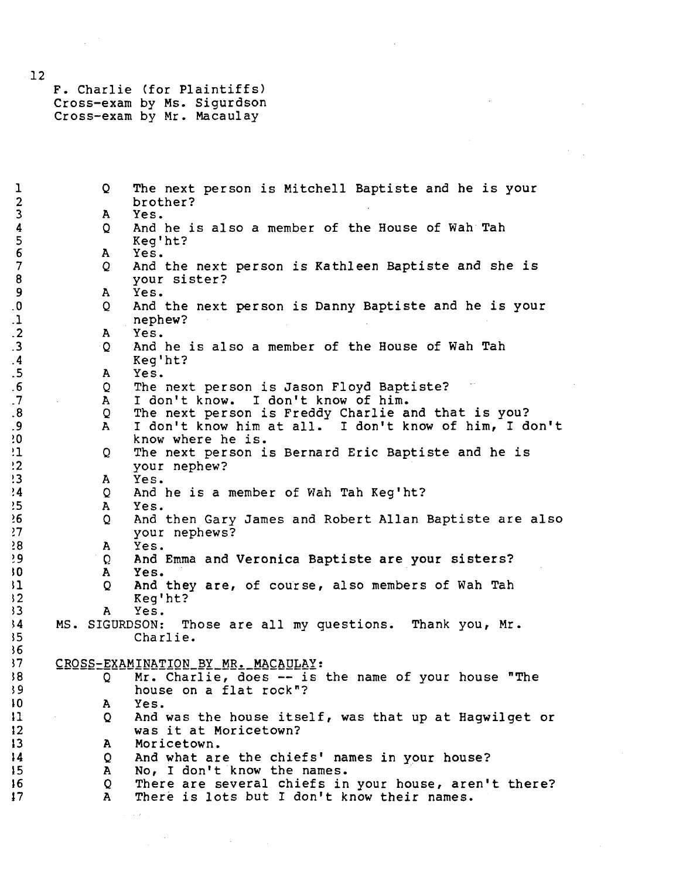F. Charlie (for Plaintiffs) Cross-exam by Ms. Sigurdson Cross-exam by Mr. Macaulay

1 Q The next person is Mitchell Baptiste and he is your<br>2 brother? 2 brother?<br>3 A Yes. 3 A Yes.<br>4 Q And 4 Q And he is also a member of the House of Wah Tah<br>5 Keq'ht? 5 Keg'ht?<br>6 A Yes. 6 A Yes.<br>7 Q And 7 Q And the next person is Kathleen Baptiste and she is 8 your sister?<br>9 A Yes. 9 A Yes . .0 Q And the next person is Danny Baptiste and he is your .1 nephew?<br>.2 A Yes. .2 A Yes . .3 Q And he is also a member of the House of Wah Tah 4<br>4 Keg'ht? .4 **Keg'ht?**<br>5 A Yes. .5 A Yes. .6 Q The next person is Jason Floyd Baptiste? .7 **• A** I don't know. I don't know of him.<br>8 **0** The next person is Freddy Charlie a .8 Q The next person is Freddy Charlie and that is you? .9 A I don't know him at all. I don't know of him, I don't d is the know where he is.<br>(1) The next person i !1 Q The next person is Bernard Eric Baptiste and he is !2 your nephew? !3 A Yes . !4 Q And he is a member of Wah Tah Keg'ht? !5 A Yes. *16* Q And then Gary James and Robert Allan Baptiste are also *11* your nephews? >8 A Yes. 29 Q And Emma and Veronica Baptiste are your sisters? A Yes. 51 Q And they are, of course, also members of Wah Tah<br>52 Keq'ht? 32 Keg'ht?<br>33 A Yes. 53 A Yes . 54 MS . SIGURDSON: Those are all my questions. Thank you , Mr . Charlie. 37 CROSS-EXAMINATION\_BY\_MR. MACAULAY: 38 Q Mr. Charlie, does -- is the name of your house "The 39 59 house on a flat rock"?<br>50 house on a flat rock"? A Yes. H Q And was the house itself, was that up at Hagwilget or was it at Moricetown? 13 A Moricetown. 14 Q And what are the chiefs' names in your house?<br>15 A No. I don't know the names. 15 A No, I don't know the names.<br>16 Q There are several chiefs in 16 Q There are several chiefs in your house, aren't there?<br>17 A There is lots but I don't know their names. There is lots but I don't know their names.

12

36<br>37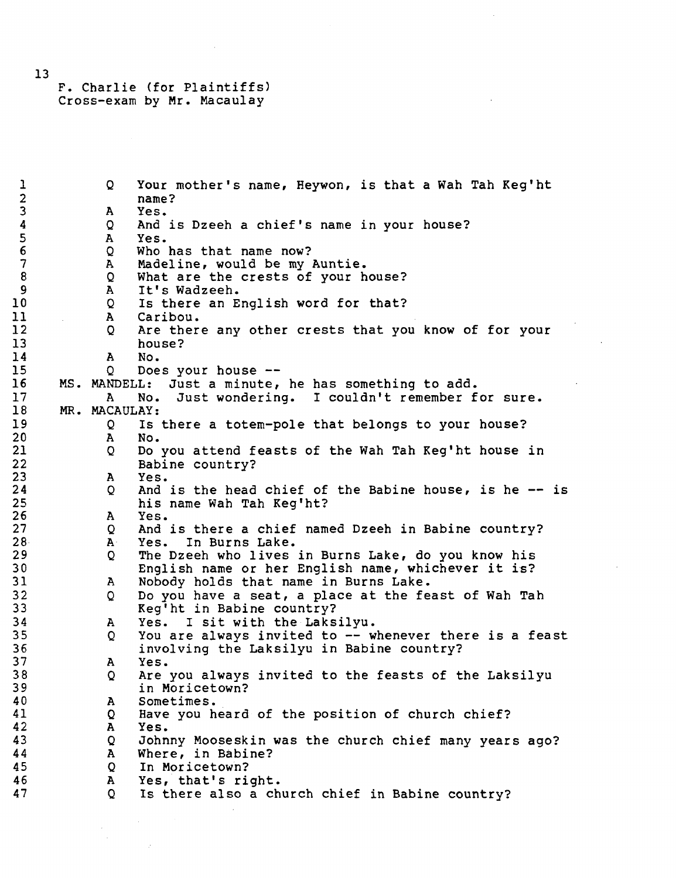#### F. Charlie (for Plaintiffs) Cross-exam by Mr. Macaulay

1 Q Your mother's name, Heywon, is that a Wah Tah Keg'ht 2 name?<br>3 A Yes. 3 A Yes. 4 Q And is Dzeeh a chief's name in your house? 5 A Yes.<br>6 Q Who has that name now? 7 A Madeline, would be my Auntie. 7 A Madelline, would be my Auntie.<br>8 A What are the crests of your hour o and what are the crests of your house:<br>Q and T+'s Wadzeeh 9 a It Swauzeen.<br>0 Te there an End 10 Q Is there an English word for that:<br>11 A Caribon 11 A Caribou. 12 Q Are there any other crests that you know of for your<br>13 bones? 13 house:<br>14 a No 17 A NO. 15 Q DOES your house ——<br>16 MC MANDELL, Just a minute 16 MS. MANDELL: JUST a minute, he has something to add.<br>17 Me - We Just wordering - Leoulantt remember f. 17 A No. Just wondering. I couldn't remember for sure.<br>18 MR. MACAULAY: 18 MR. MACAULAY:<br>19 0 Is 19 Q Is there a totem-pole that belongs to your house?<br>20 A No. 20 A No. 21 Q Do you attend feasts of the Wah Tah Keg'ht house in<br>22 Babine country? 22 Babine country?<br>23 A Yes. 23 A Yes.  $24$  Q And is the head chief of the Babine house, is he — is he — he — he — is he — is he — is he — is  $25$ 25 his name Wah Tah Keg'ht? 27 27 Q And is there a chief named Dzeeh in Babine country? 28 A Yes. In Burns Lake. 29 29 20 The Dzeeh who lives in Burns Lake, do you know his 30 **English name or her English name, whichever it is?** 31 A Nobody holds that name in Burns Lake. 31 A Nobody holds that hand in Buins Bake.<br>32 A Do you have a seat, a place at the fea 32 Q Do you have a seat, a place at the feast of Wah Tah.<br>33 Gad'ht in Bahine country? 33 Keg'ht in Babine country?<br>34 A Yes. I sit with the Laksilyu.  $35$  Q You are always invited to  $-$ - whenever there is a feast 35 Q You are always livited to — whenever there is a feast<br>36 Second involving the Iskeilyn in Bahine country? 36 involving the Laksilyu in Babine country? 37 A Yes. 38 Q Are you always invited to the feasts of the Laksilyu 39 in Moricetown?<br>40 A Sometimes. 40 A Sometimes. 41 Q Have you heard of the position of church chief? 42 A Yes. 43 Q Johnny Mooseskin was the church chief many years ago?<br>44 Mhore in Pabine? 44 A Where, in Babine?<br>45 Q In Moricetown? 45 Q In Moricetown?<br>46 A Yes, that's ri 46 **A** Yes, that's right.<br>47 0 Is there also a ch Is there also a church chief in Babine country?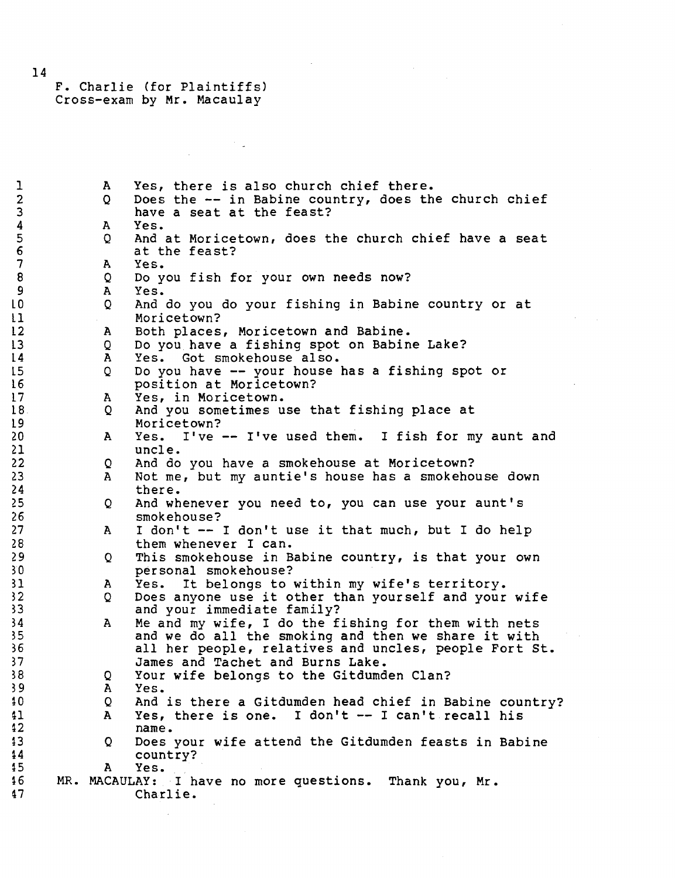F. Charlie (for Plaintiffs) Cross-exam by Mr. Macaulay

 $\bar{\mathcal{A}}$ 

 $\frac{1}{2}$ 

 $\frac{1}{2}$  .

| $\mathbf 1$      | $\mathbf{A}$ | Yes, there is also church chief there.                 |
|------------------|--------------|--------------------------------------------------------|
| $\overline{2}$   | Q            | Does the -- in Babine country, does the church chief   |
| $\overline{3}$   |              | have a seat at the feast?                              |
| $\boldsymbol{4}$ | A            | Yes.                                                   |
| $\overline{5}$   | Q            | And at Moricetown, does the church chief have a seat   |
| $\epsilon$       |              | at the feast?                                          |
| $\overline{7}$   | A            | Yes.                                                   |
| $\boldsymbol{8}$ | Q            | Do you fish for your own needs now?                    |
| 9                | A            | Yes.                                                   |
| LO.              | $\mathbf Q$  | And do you do your fishing in Babine country or at     |
| $\overline{1}$   |              | Moricetown?                                            |
| $\overline{2}$   | $\mathbf{A}$ | Both places, Moricetown and Babine.                    |
| L3               | Q            | Do you have a fishing spot on Babine Lake?             |
| $\frac{1}{4}$    | A            | Yes. Got smokehouse also.                              |
| L5.              | $\mathbf Q$  | Do you have -- your house has a fishing spot or        |
| 16               |              |                                                        |
| 17               |              | position at Moricetown?<br>Yes, in Moricetown.         |
| 18 <sub>1</sub>  | A            |                                                        |
|                  | Q            | And you sometimes use that fishing place at            |
| L 9              |              | Moricetown?                                            |
| 20               | $\mathbf{A}$ | Yes. I've -- I've used them. I fish for my aunt and    |
| 21               |              | uncle.                                                 |
| 22               | Q            | And do you have a smokehouse at Moricetown?            |
| 23.              | A            | Not me, but my auntie's house has a smokehouse down    |
| 24 <sub>1</sub>  |              | there.                                                 |
| 25 <sub>1</sub>  | Q            | And whenever you need to, you can use your aunt's      |
| 26               |              | smokehouse?                                            |
| 27               | $\mathbf{A}$ | I don't -- I don't use it that much, but I do help     |
| 28               |              | them whenever I can.                                   |
| 29               | Q            | This smokehouse in Babine country, is that your own    |
| 30               |              | personal smokehouse?                                   |
| 31               | A            | It belongs to within my wife's territory.<br>Yes.      |
| 32 <sub>2</sub>  | Q            | Does anyone use it other than yourself and your wife   |
| 33               |              | and your immediate family?                             |
| 34               | A            | Me and my wife, I do the fishing for them with nets    |
| 35.              |              | and we do all the smoking and then we share it with    |
| 36               |              | all her people, relatives and uncles, people Fort St.  |
| 37               |              | James and Tachet and Burns Lake.                       |
| 38               | Q            | Your wife belongs to the Gitdumden Clan?               |
| 39               | A            | Yes.                                                   |
| 10               | Q            | And is there a Gitdumden head chief in Babine country? |
| 41               | $\mathbf{A}$ | Yes, there is one. I don't -- I can't recall his       |
| $42 \,$          |              | name.                                                  |
| 13               | Q.           | Does your wife attend the Gitdumden feasts in Babine   |
| 44               |              | country?                                               |
| $15 \,$          | A            | Yes.                                                   |
| 16               |              | MR. MACAULAY: I have no more questions. Thank you, Mr. |
| 47               |              | Charlie.                                               |

 $\mathcal{A}^{\pm}$ 

14